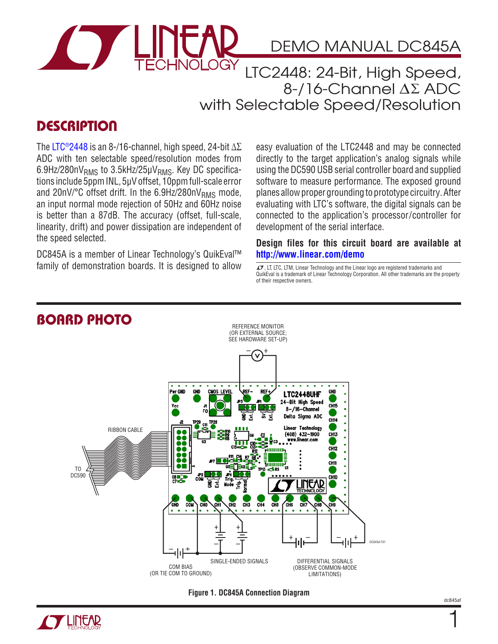

## DEMO MANUAL DC845A

LTC2448: 24-Bit, High Speed, 8-/16-Channel Δ∑ ADC with Selectable Speed/Resolution

## **DESCRIPTION**

The [LTC®2448](http://www.linear.com/LTC2448) is an 8-/16-channel, high speed, 24-bit  $\Delta\Sigma$ ADC with ten selectable speed/resolution modes from  $6.9$ Hz/280n $V<sub>RMS</sub>$  to 3.5kHz/25 $\mu V<sub>RMS</sub>$ . Key DC specifications include 5ppmINL, 5μVoffset, 10ppmfull-scale error and 20nV/ $^{\circ}$ C offset drift. In the 6.9Hz/280nV<sub>RMS</sub> mode, an input normal mode rejection of 50Hz and 60Hz noise is better than a 87dB. The accuracy (offset, full-scale, linearity, drift) and power dissipation are independent of the speed selected.

DC845A is a member of Linear Technology's QuikEval™ family of demonstration boards. It is designed to allow  $\overline{G}$ , LT, LTC, LTM, Linear Technology and the Linear logo are registered trademarks and

easy evaluation of the [LTC2448](http://www.linear.com/LTC2448) and may be connected directly to the target application's analog signals while using the DC590 USB serial controller board and supplied software to measure performance. The exposed ground planes allowproper grounding to prototype circuitry. After evaluating with LTC's software, the digital signals can be connected to the application's processor/controller for development of the serial interface.

**Design files for this circuit board are available at <http://www.linear.com/demo>**

QuikEval is a trademark of Linear Technology Corporation. All other trademarks are the property of their respective owners.



#### **Figure 1. DC845A Connection Diagram**



1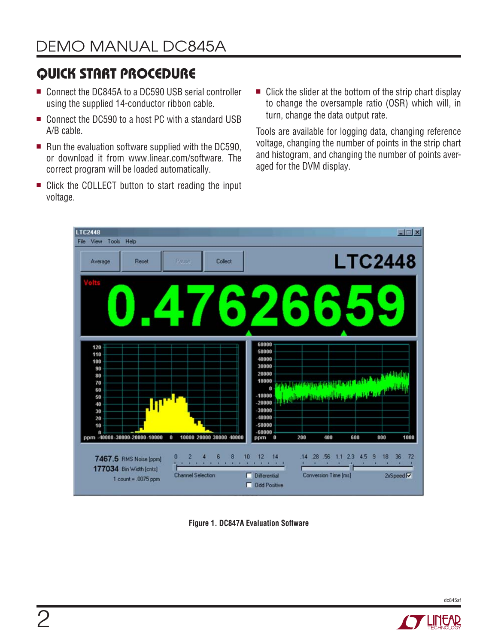# Quick Start Procedure

- Connect the DC845A to a DC590 USB serial controller using the supplied 14-conductor ribbon cable.
- Connect the DC590 to a host PC with a standard USB A/B cable.
- $\blacksquare$  Run the evaluation software supplied with the DC590, or download it from www.linear.com/software. The correct program will be loaded automatically.
- Click the COLLECT button to start reading the input voltage.
- $\blacksquare$  Click the slider at the bottom of the strip chart display to change the oversample ratio (OSR) which will, in turn, change the data output rate.

Tools are available for logging data, changing reference voltage, changing the number of points in the strip chart and histogram, and changing the number of points averaged for the DVM display.



**Figure 1. DC847A Evaluation Software**



dc845af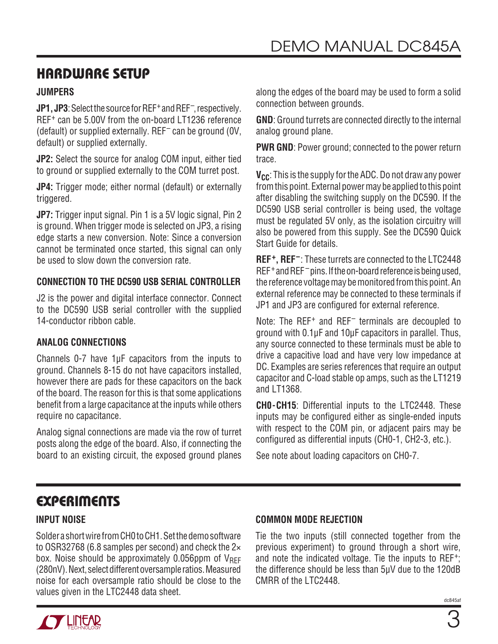## Hardware Setup

#### **Jumpers**

**JP1, JP3**: Select the source for REF<sup>+</sup> and REF<sup>-</sup>, respectively. REF<sup>+</sup> can be 5.00V from the on-board LT1236 reference (default) or supplied externally. REF– can be ground (0V, default) or supplied externally.

**JP2:** Select the source for analog COM input, either tied to ground or supplied externally to the COM turret post.

**JP4:** Trigger mode; either normal (default) or externally triggered.

**JP7:** Trigger input signal. Pin 1 is a 5V logic signal, Pin 2 is ground. When trigger mode is selected on JP3, a rising edge starts a new conversion. Note: Since a conversion cannot be terminated once started, this signal can only be used to slow down the conversion rate.

#### **CONNECTION TO THE DC590 USB SERIAL CONTROLLER**

J2 is the power and digital interface connector. Connect to the DC590 USB serial controller with the supplied 14-conductor ribbon cable.

#### **ANALOG CONNECTIONS**

Channels 0-7 have 1μF capacitors from the inputs to ground. Channels 8-15 do not have capacitors installed, however there are pads for these capacitors on the back of the board. The reason for this is that some applications benefit from a large capacitance at the inputs while others require no capacitance.

Analog signal connections are made via the row of turret posts along the edge of the board. Also, if connecting the board to an existing circuit, the exposed ground planes

along the edges of the board may be used to form a solid connection between grounds.

**GND**: Ground turrets are connected directly to the internal analog ground plane.

**PWR GND**: Power ground; connected to the power return trace.

**V<sub>CC</sub>**: This is the supply for the ADC. Do not draw any power from this point. External power may be applied to this point after disabling the switching supply on the DC590. If the DC590 USB serial controller is being used, the voltage must be regulated 5V only, as the isolation circuitry will also be powered from this supply. See the DC590 Quick Start Guide for details.

**REF+, REF–**: These turrets are connected to the LTC2448  $REF^{+}$  and  $REF^{-}$  pins. If the on-board reference is being used, the reference voltage may be monitored from this point. An external reference may be connected to these terminals if JP1 and JP3 are configured for external reference.

Note: The REF<sup>+</sup> and REF<sup>-</sup> terminals are decoupled to ground with 0.1μF and 10μF capacitors in parallel. Thus, any source connected to these terminals must be able to drive a capacitive load and have very low impedance at DC. Examples are series references that require an output capacitor and C-load stable op amps, such as the LT1219 and LT1368.

**CH0-CH15**: Differential inputs to the LTC2448. These inputs may be configured either as single-ended inputs with respect to the COM pin, or adjacent pairs may be configured as differential inputs (CH0-1, CH2-3, etc.).

See note about loading capacitors on CH0-7.

## **EXPERIMENTS**

## **INPUT NOISE**

Solder a short wire from CH0 to CH1. Set the demo software to OSR32768 (6.8 samples per second) and check the 2× box. Noise should be approximately  $0.056$ ppm of  $V_{\text{RFF}}$ (280nV). Next, select different oversample ratios. Measured noise for each oversample ratio should be close to the values given in the LTC2448 data sheet.

#### **COMMON MODE REJECTION**

Tie the two inputs (still connected together from the previous experiment) to ground through a short wire, and note the indicated voltage. Tie the inputs to REF+; the difference should be less than 5μV due to the 120dB CMRR of the LTC2448.

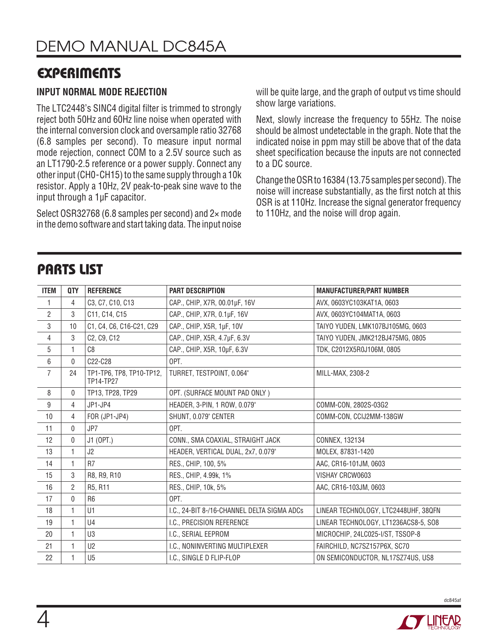## **EXPERIMENTS**

### **INPUT NORMAL MODE REJECTION**

The LTC2448's SINC4 digital filter is trimmed to strongly reject both 50Hz and 60Hz line noise when operated with the internal conversion clock and oversample ratio 32768 (6.8 samples per second). To measure input normal mode rejection, connect COM to a 2.5V source such as an LT1790-2.5 reference or a power supply. Connect any otherinput (CH0-CH15) to the same supply through a 10k resistor. Apply a 10Hz, 2V peak-to-peak sine wave to the input through a 1µF capacitor.

Select OSR32768 (6.8 samples per second) and 2× mode in the demo software and start taking data. The input noise will be quite large, and the graph of output vs time should show large variations.

Next, slowly increase the frequency to 55Hz. The noise should be almost undetectable in the graph. Note that the indicated noise in ppm may still be above that of the data sheet specification because the inputs are not connected to a DC source.

Change the OSR to 16384 (13.75 samples per second). The noise will increase substantially, as the first notch at this OSR is at 110Hz. Increase the signal generator frequency to 110Hz, and the noise will drop again.

## Parts List

| <b>ITEM</b>    | QTY          | <b>REFERENCE</b>                      | <b>PART DESCRIPTION</b>                     | <b>MANUFACTURER/PART NUMBER</b>      |
|----------------|--------------|---------------------------------------|---------------------------------------------|--------------------------------------|
| 1              | 4            | C3, C7, C10, C13                      | CAP., CHIP, X7R, 00.01µF, 16V               | AVX, 0603YC103KAT1A, 0603            |
| $\overline{2}$ | 3            | C11, C14, C15                         | CAP., CHIP, X7R, 0.1µF, 16V                 | AVX, 0603YC104MAT1A, 0603            |
| 3              | 10           | C1, C4, C6, C16-C21, C29              | CAP., CHIP, X5R, 1µF, 10V                   | TAIYO YUDEN, LMK107BJ105MG, 0603     |
| 4              | 3            | C2, C9, C12                           | CAP., CHIP, X5R, 4.7µF, 6.3V                | TAIYO YUDEN, JMK212BJ475MG, 0805     |
| 5              | 1            | C8                                    | CAP., CHIP, X5R, 10µF, 6.3V                 | TDK, C2012X5R0J106M, 0805            |
| $6\,$          | 0            | C22-C28                               | OPT.                                        |                                      |
| $\overline{7}$ | 24           | TP1-TP6, TP8, TP10-TP12,<br>TP14-TP27 | TURRET, TESTPOINT, 0.064"                   | MILL-MAX, 2308-2                     |
| 8              | 0            | TP13, TP28, TP29                      | OPT. (SURFACE MOUNT PAD ONLY)               |                                      |
| 9              | 4            | JP1-JP4                               | HEADER, 3-PIN, 1 ROW, 0.079"                | COMM-CON, 2802S-03G2                 |
| 10             | 4            | FOR (JP1-JP4)                         | SHUNT, 0.079" CENTER                        | COMM-CON, CCIJ2MM-138GW              |
| 11             | 0            | JP7                                   | OPT.                                        |                                      |
| 12             | 0            | J1 (OPT.)                             | CONN., SMA COAXIAL, STRAIGHT JACK           | CONNEX, 132134                       |
| 13             | 1            | J2                                    | HEADER, VERTICAL DUAL, 2x7, 0.079"          | MOLEX, 87831-1420                    |
| 14             | 1            | R <sub>7</sub>                        | RES., CHIP, 100, 5%                         | AAC, CR16-101JM, 0603                |
| 15             | 3            | R8, R9, R10                           | RES., CHIP, 4.99k, 1%                       | VISHAY CRCW0603                      |
| 16             | 2            | R5, R11                               | RES., CHIP, 10k, 5%                         | AAC, CR16-103JM, 0603                |
| 17             | 0            | R <sub>6</sub>                        | OPT.                                        |                                      |
| 18             | $\mathbf{1}$ | U1                                    | I.C., 24-BIT 8-/16-CHANNEL DELTA SIGMA ADCs | LINEAR TECHNOLOGY, LTC2448UHF, 38QFN |
| 19             | 1            | U <sub>4</sub>                        | I.C., PRECISION REFERENCE                   | LINEAR TECHNOLOGY, LT1236ACS8-5, SO8 |
| 20             | 1            | U <sub>3</sub>                        | I.C., SERIAL EEPROM                         | MICROCHIP, 24LC025-I/ST, TSSOP-8     |
| 21             | 1            | U <sub>2</sub>                        | I.C., NONINVERTING MULTIPLEXER              | FAIRCHILD, NC7SZ157P6X, SC70         |
| 22             |              | U <sub>5</sub>                        | I.C., SINGLE D FLIP-FLOP                    | ON SEMICONDUCTOR, NL17SZ74US, US8    |

dc845af

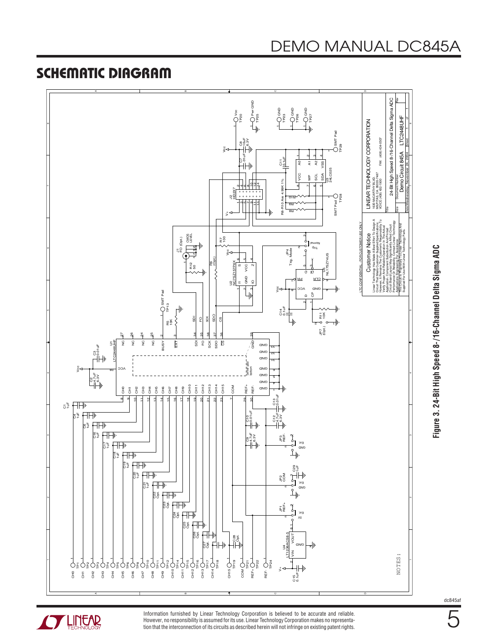

Figure 3. 24-Bit High Speed 8-/16-Channel Delta Sigma ADC **Figure 3. 24-Bit High Speed 8-/16-Channel Delta Sigma ADC**

dc845af

5



Information furnished by Linear Technology Corporation is believed to be accurate and reliable. However, no responsibility is assumed for its use. Linear Technology Corporation makes no representation that the interconnection of its circuits as described herein will not infringe on existing patent rights.

# DEMO MANUAL DC845A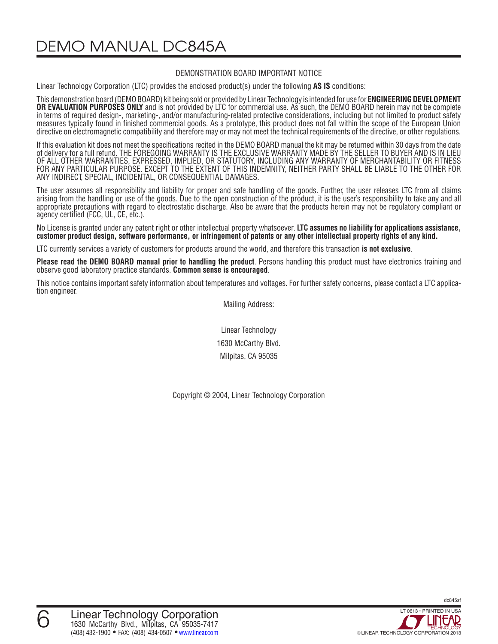DEMO MANUAL DC845A

#### DEMONSTRATION BOARD IMPORTANT NOTICE

Linear Technology Corporation (LTC) provides the enclosed product(s) under the following **AS IS** conditions:

This demonstration board (DEMOBOARD) kit being sold or provided by Linear Technology is intended for use for **ENGINEERINGDEVELOPMENT OR EVALUATION PURPOSES ONLY** and is not provided by LTC for commercial use. As such, the DEMO BOARD herein may not be complete in terms of required design-, marketing-, and/or manufacturing-related protective considerations, including but not limited to product safety measures typically found in finished commercial goods. As a prototype, this product does not fall within the scope of the European Union directive on electromagnetic compatibility and therefore may or may not meet the technical requirements of the directive, or other regulations.

If this evaluation kit does not meet the specifications recited in the DEMO BOARD manual the kit may be returned within 30 days from the date of delivery for a full refund. THE FOREGOING WARRANTY IS THE EXCLUSIVE WARRANTY MADE BY THE SELLER TO BUYER AND IS IN LIEU OF ALL OTHER WARRANTIES, EXPRESSED, IMPLIED, OR STATUTORY, INCLUDING ANY WARRANTY OF MERCHANTABILITY OR FITNESS FOR ANY PARTICULAR PURPOSE. EXCEPT TO THE EXTENT OF THIS INDEMNITY, NEITHER PARTY SHALL BE LIABLE TO THE OTHER FOR ANY INDIRECT, SPECIAL, INCIDENTAL, OR CONSEQUENTIAL DAMAGES.

The user assumes all responsibility and liability for proper and safe handling of the goods. Further, the user releases LTC from all claims arising from the handling or use of the goods. Due to the open construction of the product, it is the user's responsibility to take any and all appropriate precautions with regard to electrostatic discharge. Also be aware that the products herein may not be regulatory compliant or agency certified (FCC, UL, CE, etc.).

No License is granted under any patent right or other intellectual property whatsoever. **LTC assumes no liability for applications assistance,**  customer product design, software performance, or infringement of patents or any other intellectual property rights of any kind.

LTC currently services a variety of customers for products around the world, and therefore this transaction **is not exclusive**.

**Please read the DEMO BOARD manual prior to handling the product**. Persons handling this product must have electronics training and observe good laboratory practice standards. **Common sense is encouraged**.

This notice contains important safety information about temperatures and voltages. For further safety concerns, please contact a LTC applica tion engineer.

Mailing Address:

Linear Technology 1630 McCarthy Blvd. Milpitas, CA 95035

Copyright © 2004, Linear Technology Corporation